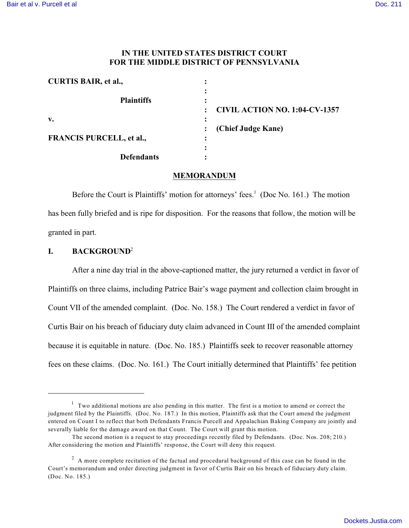## **IN THE UNITED STATES DISTRICT COURT FOR THE MIDDLE DISTRICT OF PENNSYLVANIA**

| <b>CURTIS BAIR, et al.,</b>     | ٠                                    |
|---------------------------------|--------------------------------------|
| <b>Plaintiffs</b>               |                                      |
|                                 | <b>CIVIL ACTION NO. 1:04-CV-1357</b> |
| v.                              |                                      |
|                                 | (Chief Judge Kane)                   |
| <b>FRANCIS PURCELL, et al.,</b> | ٠                                    |
|                                 |                                      |
| <b>Defendants</b>               |                                      |

### **MEMORANDUM**

Before the Court is Plaintiffs' motion for attorneys' fees.<sup>1</sup> (Doc No. 161.) The motion has been fully briefed and is ripe for disposition. For the reasons that follow, the motion will be granted in part.

# **I. BACKGROUND**<sup>2</sup>

After a nine day trial in the above-captioned matter, the jury returned a verdict in favor of Plaintiffs on three claims, including Patrice Bair's wage payment and collection claim brought in Count VII of the amended complaint. (Doc. No. 158.) The Court rendered a verdict in favor of Curtis Bair on his breach of fiduciary duty claim advanced in Count III of the amended complaint because it is equitable in nature. (Doc. No. 185.) Plaintiffs seek to recover reasonable attorney fees on these claims. (Doc. No. 161.) The Court initially determined that Plaintiffs' fee petition

 $1$  Two additional motions are also pending in this matter. The first is a motion to amend or correct the judgment filed by the Plaintiffs. (Doc. No. 187.) In this motion, Plaintiffs ask that the Court amend the judgment entered on Count I to reflect that both Defendants Francis Purcell and Appalachian Baking Company are jointly and severally liable for the damage award on that Count. The Court will grant this motion.

The second motion is a request to stay proceedings recently filed by Defendants. (Doc. Nos. 208; 210.) After considering the motion and Plaintiffs' response, the Court will deny this request.

 $^2$  A more complete recitation of the factual and procedural background of this case can be found in the Court's memorandum and order directing judgment in favor of Curtis Bair on his breach of fiduciary duty claim. (Doc. No. 185.)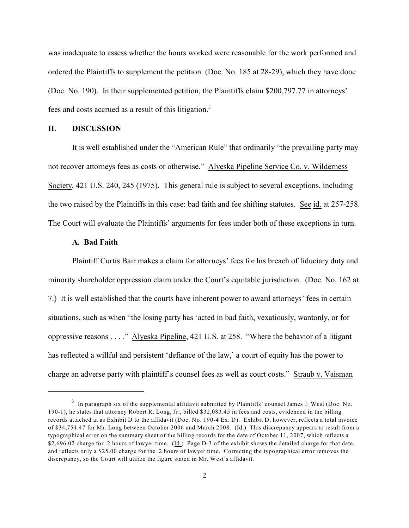was inadequate to assess whether the hours worked were reasonable for the work performed and ordered the Plaintiffs to supplement the petition (Doc. No. 185 at 28-29), which they have done (Doc. No. 190). In their supplemented petition, the Plaintiffs claim \$200,797.77 in attorneys' fees and costs accrued as a result of this litigation.<sup>3</sup>

### **II. DISCUSSION**

It is well established under the "American Rule" that ordinarily "the prevailing party may not recover attorneys fees as costs or otherwise." Alyeska Pipeline Service Co. v. Wilderness Society, 421 U.S. 240, 245 (1975). This general rule is subject to several exceptions, including the two raised by the Plaintiffs in this case: bad faith and fee shifting statutes. See id. at 257-258. The Court will evaluate the Plaintiffs' arguments for fees under both of these exceptions in turn.

### **A. Bad Faith**

Plaintiff Curtis Bair makes a claim for attorneys' fees for his breach of fiduciary duty and minority shareholder oppression claim under the Court's equitable jurisdiction. (Doc. No. 162 at 7.) It is well established that the courts have inherent power to award attorneys' fees in certain situations, such as when "the losing party has 'acted in bad faith, vexatiously, wantonly, or for oppressive reasons . . . ." Alyeska Pipeline, 421 U.S. at 258. "Where the behavior of a litigant has reflected a willful and persistent 'defiance of the law,' a court of equity has the power to charge an adverse party with plaintiff's counsel fees as well as court costs." Straub v. Vaisman

 $3$  In paragraph six of the supplemental affidavit submitted by Plaintiffs' counsel James J. West (Doc. No. 190-1), he states that attorney Robert R. Long, Jr., billed \$32,083.45 in fees and costs, evidenced in the billing records attached at as Exhibit D to the affidavit (Doc. No. 190-4 Ex. D). Exhibit D, however, reflects a total invoice of \$34,754.47 for Mr. Long between October 2006 and March 2008. (Id.) This discrepancy appears to result from a typographical error on the summary sheet of the billing records for the date of October 11, 2007, which reflects a \$2,696.02 charge for .2 hours of lawyer time. (Id.) Page D-3 of the exhibit shows the detailed charge for that date, and reflects only a \$25.00 charge for the .2 hours of lawyer time. Correcting the typographical error removes the discrepancy, so the Court will utilize the figure stated in Mr. West's affidavit.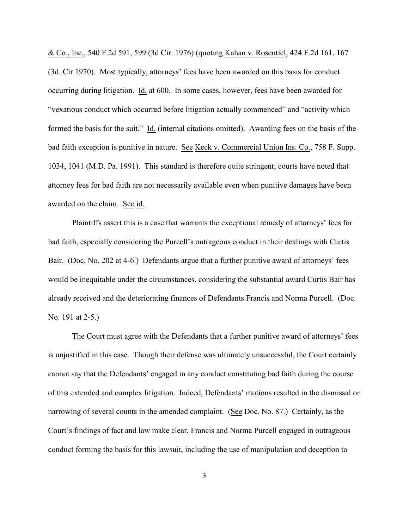& Co., Inc., 540 F.2d 591, 599 (3d Cir. 1976) (quoting Kahan v. Rosentiel, 424 F.2d 161, 167 (3d. Cir 1970). Most typically, attorneys' fees have been awarded on this basis for conduct occurring during litigation. Id. at 600. In some cases, however, fees have been awarded for "vexatious conduct which occurred before litigation actually commenced" and "activity which formed the basis for the suit." Id. (internal citations omitted). Awarding fees on the basis of the bad faith exception is punitive in nature. See Keck v. Commercial Union Ins. Co., 758 F. Supp. 1034, 1041 (M.D. Pa. 1991). This standard is therefore quite stringent; courts have noted that attorney fees for bad faith are not necessarily available even when punitive damages have been awarded on the claim. See id.

Plaintiffs assert this is a case that warrants the exceptional remedy of attorneys' fees for bad faith, especially considering the Purcell's outrageous conduct in their dealings with Curtis Bair. (Doc. No. 202 at 4-6.) Defendants argue that a further punitive award of attorneys' fees would be inequitable under the circumstances, considering the substantial award Curtis Bair has already received and the deteriorating finances of Defendants Francis and Norma Purcell. (Doc. No. 191 at 2-5.)

The Court must agree with the Defendants that a further punitive award of attorneys' fees is unjustified in this case. Though their defense was ultimately unsuccessful, the Court certainly cannot say that the Defendants' engaged in any conduct constituting bad faith during the course of this extended and complex litigation. Indeed, Defendants' motions resulted in the dismissal or narrowing of several counts in the amended complaint. (See Doc. No. 87.) Certainly, as the Court's findings of fact and law make clear, Francis and Norma Purcell engaged in outrageous conduct forming the basis for this lawsuit, including the use of manipulation and deception to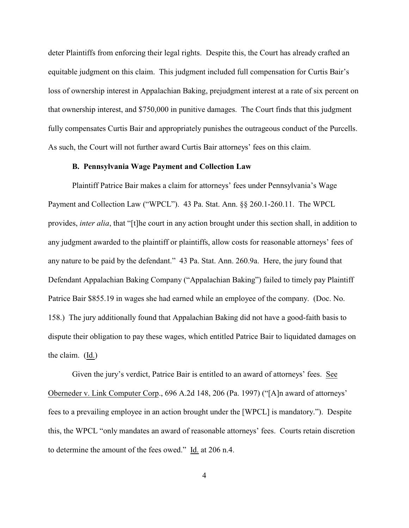deter Plaintiffs from enforcing their legal rights. Despite this, the Court has already crafted an equitable judgment on this claim. This judgment included full compensation for Curtis Bair's loss of ownership interest in Appalachian Baking, prejudgment interest at a rate of six percent on that ownership interest, and \$750,000 in punitive damages. The Court finds that this judgment fully compensates Curtis Bair and appropriately punishes the outrageous conduct of the Purcells. As such, the Court will not further award Curtis Bair attorneys' fees on this claim.

### **B. Pennsylvania Wage Payment and Collection Law**

Plaintiff Patrice Bair makes a claim for attorneys' fees under Pennsylvania's Wage Payment and Collection Law ("WPCL"). 43 Pa. Stat. Ann. §§ 260.1-260.11. The WPCL provides, *inter alia*, that "[t]he court in any action brought under this section shall, in addition to any judgment awarded to the plaintiff or plaintiffs, allow costs for reasonable attorneys' fees of any nature to be paid by the defendant." 43 Pa. Stat. Ann. 260.9a. Here, the jury found that Defendant Appalachian Baking Company ("Appalachian Baking") failed to timely pay Plaintiff Patrice Bair \$855.19 in wages she had earned while an employee of the company. (Doc. No. 158.) The jury additionally found that Appalachian Baking did not have a good-faith basis to dispute their obligation to pay these wages, which entitled Patrice Bair to liquidated damages on the claim. (Id.)

Given the jury's verdict, Patrice Bair is entitled to an award of attorneys' fees. See Oberneder v. Link Computer Corp., 696 A.2d 148, 206 (Pa. 1997) ("[A]n award of attorneys' fees to a prevailing employee in an action brought under the [WPCL] is mandatory."). Despite this, the WPCL "only mandates an award of reasonable attorneys' fees. Courts retain discretion to determine the amount of the fees owed." Id. at 206 n.4.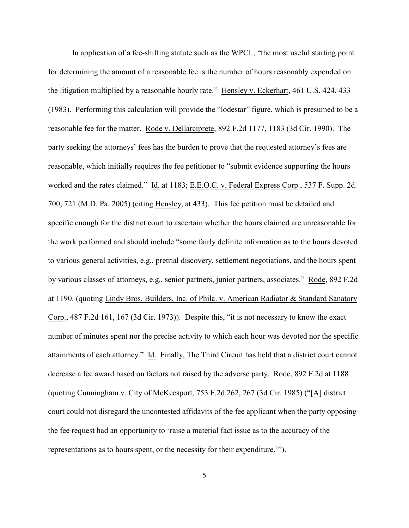In application of a fee-shifting statute such as the WPCL, "the most useful starting point for determining the amount of a reasonable fee is the number of hours reasonably expended on the litigation multiplied by a reasonable hourly rate." Hensley v. Eckerhart, 461 U.S. 424, 433 (1983). Performing this calculation will provide the "lodestar" figure, which is presumed to be a reasonable fee for the matter. Rode v. Dellarciprete, 892 F.2d 1177, 1183 (3d Cir. 1990). The party seeking the attorneys' fees has the burden to prove that the requested attorney's fees are reasonable, which initially requires the fee petitioner to "submit evidence supporting the hours worked and the rates claimed." Id. at 1183; E.E.O.C. v. Federal Express Corp., 537 F. Supp. 2d. 700, 721 (M.D. Pa. 2005) (citing Hensley, at 433). This fee petition must be detailed and specific enough for the district court to ascertain whether the hours claimed are unreasonable for the work performed and should include "some fairly definite information as to the hours devoted to various general activities, e.g., pretrial discovery, settlement negotiations, and the hours spent by various classes of attorneys, e.g., senior partners, junior partners, associates." Rode, 892 F.2d at 1190. (quoting Lindy Bros. Builders, Inc. of Phila. v. American Radiator & Standard Sanatory Corp., 487 F.2d 161, 167 (3d Cir. 1973)). Despite this, "it is not necessary to know the exact number of minutes spent nor the precise activity to which each hour was devoted nor the specific attainments of each attorney." Id. Finally, The Third Circuit has held that a district court cannot decrease a fee award based on factors not raised by the adverse party. Rode, 892 F.2d at 1188 (quoting Cunningham v. City of McKeesport, 753 F.2d 262, 267 (3d Cir. 1985) ("[A] district court could not disregard the uncontested affidavits of the fee applicant when the party opposing the fee request had an opportunity to 'raise a material fact issue as to the accuracy of the representations as to hours spent, or the necessity for their expenditure.'").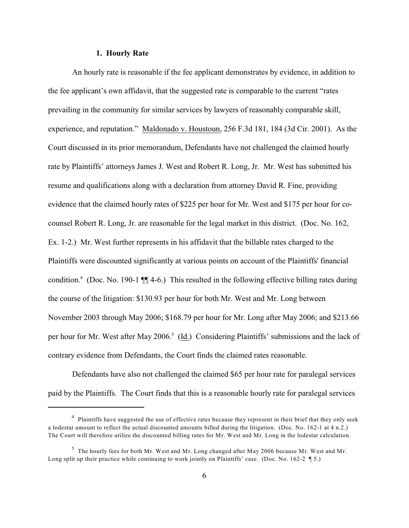### **1. Hourly Rate**

An hourly rate is reasonable if the fee applicant demonstrates by evidence, in addition to the fee applicant's own affidavit, that the suggested rate is comparable to the current "rates prevailing in the community for similar services by lawyers of reasonably comparable skill, experience, and reputation." Maldonado v. Houstoun, 256 F.3d 181, 184 (3d Cir. 2001). As the Court discussed in its prior memorandum, Defendants have not challenged the claimed hourly rate by Plaintiffs' attorneys James J. West and Robert R. Long, Jr. Mr. West has submitted his resume and qualifications along with a declaration from attorney David R. Fine, providing evidence that the claimed hourly rates of \$225 per hour for Mr. West and \$175 per hour for cocounsel Robert R. Long, Jr. are reasonable for the legal market in this district. (Doc. No. 162, Ex. 1-2.) Mr. West further represents in his affidavit that the billable rates charged to the Plaintiffs were discounted significantly at various points on account of the Plaintiffs' financial condition.<sup>4</sup> (Doc. No. 190-1  $\P$  $[$  4-6.) This resulted in the following effective billing rates during the course of the litigation: \$130.93 per hour for both Mr. West and Mr. Long between November 2003 through May 2006; \$168.79 per hour for Mr. Long after May 2006; and \$213.66 per hour for Mr. West after May 2006.<sup>5</sup> (Id.) Considering Plaintiffs' submissions and the lack of contrary evidence from Defendants, the Court finds the claimed rates reasonable.

Defendants have also not challenged the claimed \$65 per hour rate for paralegal services paid by the Plaintiffs. The Court finds that this is a reasonable hourly rate for paralegal services

<sup>&</sup>lt;sup>4</sup> Plaintiffs have suggested the use of effective rates because they represent in their brief that they only seek a lodestar amount to reflect the actual discounted amounts billed during the litigation. (Doc. No. 162-1 at 4 n.2.) The Court will therefore utilize the discounted billing rates for Mr. West and Mr. Long in the lodestar calculation.

 $5$  The hourly fees for both Mr. West and Mr. Long changed after May 2006 because Mr. West and Mr. Long split up their practice while continuing to work jointly on Plaintiffs' case. (Doc. No. 162-2 ¶ 5.)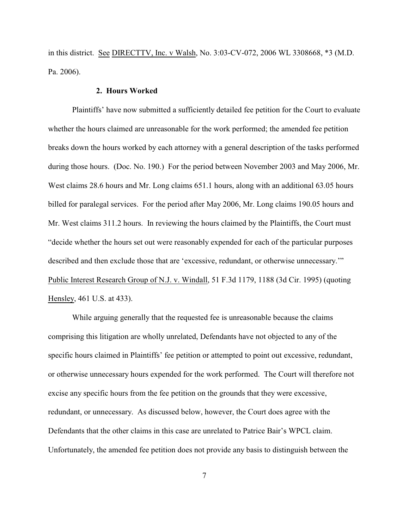in this district. See DIRECTTV, Inc. v Walsh, No. 3:03-CV-072, 2006 WL 3308668, \*3 (M.D. Pa. 2006).

### **2. Hours Worked**

Plaintiffs' have now submitted a sufficiently detailed fee petition for the Court to evaluate whether the hours claimed are unreasonable for the work performed; the amended fee petition breaks down the hours worked by each attorney with a general description of the tasks performed during those hours. (Doc. No. 190.) For the period between November 2003 and May 2006, Mr. West claims 28.6 hours and Mr. Long claims 651.1 hours, along with an additional 63.05 hours billed for paralegal services. For the period after May 2006, Mr. Long claims 190.05 hours and Mr. West claims 311.2 hours. In reviewing the hours claimed by the Plaintiffs, the Court must "decide whether the hours set out were reasonably expended for each of the particular purposes described and then exclude those that are 'excessive, redundant, or otherwise unnecessary.'" Public Interest Research Group of N.J. v. Windall, 51 F.3d 1179, 1188 (3d Cir. 1995) (quoting Hensley, 461 U.S. at 433).

While arguing generally that the requested fee is unreasonable because the claims comprising this litigation are wholly unrelated, Defendants have not objected to any of the specific hours claimed in Plaintiffs' fee petition or attempted to point out excessive, redundant, or otherwise unnecessary hours expended for the work performed. The Court will therefore not excise any specific hours from the fee petition on the grounds that they were excessive, redundant, or unnecessary. As discussed below, however, the Court does agree with the Defendants that the other claims in this case are unrelated to Patrice Bair's WPCL claim. Unfortunately, the amended fee petition does not provide any basis to distinguish between the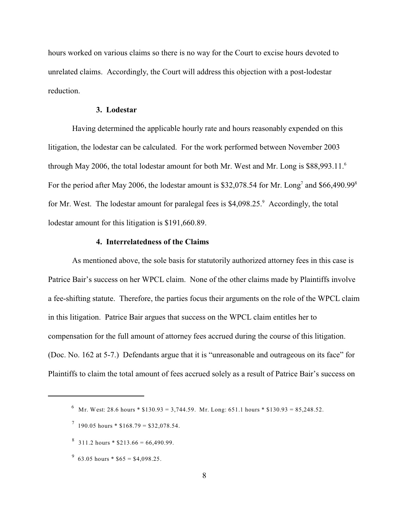hours worked on various claims so there is no way for the Court to excise hours devoted to unrelated claims. Accordingly, the Court will address this objection with a post-lodestar reduction.

### **3. Lodestar**

Having determined the applicable hourly rate and hours reasonably expended on this litigation, the lodestar can be calculated. For the work performed between November 2003 through May 2006, the total lodestar amount for both Mr. West and Mr. Long is \$88,993.11.<sup>6</sup> For the period after May 2006, the lodestar amount is \$32,078.54 for Mr. Long<sup>7</sup> and \$66,490.99<sup>8</sup> for Mr. West. The lodestar amount for paralegal fees is \$4,098.25.<sup>9</sup> Accordingly, the total lodestar amount for this litigation is \$191,660.89.

## **4. Interrelatedness of the Claims**

As mentioned above, the sole basis for statutorily authorized attorney fees in this case is Patrice Bair's success on her WPCL claim. None of the other claims made by Plaintiffs involve a fee-shifting statute. Therefore, the parties focus their arguments on the role of the WPCL claim in this litigation. Patrice Bair argues that success on the WPCL claim entitles her to compensation for the full amount of attorney fees accrued during the course of this litigation. (Doc. No. 162 at 5-7.) Defendants argue that it is "unreasonable and outrageous on its face" for Plaintiffs to claim the total amount of fees accrued solely as a result of Patrice Bair's success on

- $8\quad 311.2 \text{ hours} * $213.66 = 66,490.99.$
- $63.05$  hours \* \$65 = \$4,098.25.

<sup>&</sup>lt;sup>6</sup> Mr. West: 28.6 hours \* \$130.93 = 3,744.59. Mr. Long: 651.1 hours \* \$130.93 = 85,248.52.

 $190.05$  hours \* \$168.79 = \$32,078.54.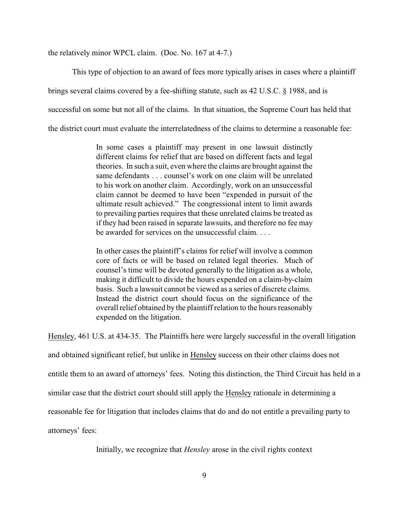the relatively minor WPCL claim. (Doc. No. 167 at 4-7.)

This type of objection to an award of fees more typically arises in cases where a plaintiff

brings several claims covered by a fee-shifting statute, such as 42 U.S.C. § 1988, and is

successful on some but not all of the claims. In that situation, the Supreme Court has held that

the district court must evaluate the interrelatedness of the claims to determine a reasonable fee:

In some cases a plaintiff may present in one lawsuit distinctly different claims for relief that are based on different facts and legal theories. In such a suit, even where the claims are brought against the same defendants . . . counsel's work on one claim will be unrelated to his work on another claim. Accordingly, work on an unsuccessful claim cannot be deemed to have been "expended in pursuit of the ultimate result achieved." The congressional intent to limit awards to prevailing parties requires that these unrelated claims be treated as if they had been raised in separate lawsuits, and therefore no fee may be awarded for services on the unsuccessful claim. . . .

In other cases the plaintiff's claims for relief will involve a common core of facts or will be based on related legal theories. Much of counsel's time will be devoted generally to the litigation as a whole, making it difficult to divide the hours expended on a claim-by-claim basis. Such a lawsuit cannot be viewed as a series of discrete claims. Instead the district court should focus on the significance of the overall relief obtained by the plaintiff relation to the hours reasonably expended on the litigation.

Hensley, 461 U.S. at 434-35. The Plaintiffs here were largely successful in the overall litigation and obtained significant relief, but unlike in Hensley success on their other claims does not entitle them to an award of attorneys' fees. Noting this distinction, the Third Circuit has held in a similar case that the district court should still apply the Hensley rationale in determining a reasonable fee for litigation that includes claims that do and do not entitle a prevailing party to attorneys' fees:

Initially, we recognize that *Hensley* arose in the civil rights context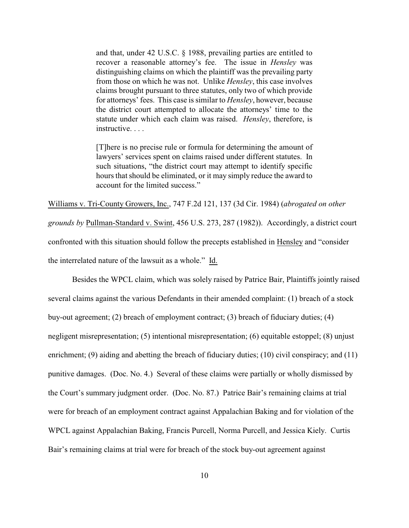and that, under 42 U.S.C. § 1988, prevailing parties are entitled to recover a reasonable attorney's fee. The issue in *Hensley* was distinguishing claims on which the plaintiff was the prevailing party from those on which he was not. Unlike *Hensley*, this case involves claims brought pursuant to three statutes, only two of which provide for attorneys' fees. This case is similar to *Hensley*, however, because the district court attempted to allocate the attorneys' time to the statute under which each claim was raised. *Hensley*, therefore, is instructive. . . .

[T]here is no precise rule or formula for determining the amount of lawyers' services spent on claims raised under different statutes. In such situations, "the district court may attempt to identify specific hours that should be eliminated, or it may simply reduce the award to account for the limited success."

Williams v. Tri-County Growers, Inc., 747 F.2d 121, 137 (3d Cir. 1984) (*abrogated on other grounds by* Pullman-Standard v. Swint, 456 U.S. 273, 287 (1982)). Accordingly, a district court confronted with this situation should follow the precepts established in Hensley and "consider the interrelated nature of the lawsuit as a whole." Id.

Besides the WPCL claim, which was solely raised by Patrice Bair, Plaintiffs jointly raised several claims against the various Defendants in their amended complaint: (1) breach of a stock buy-out agreement; (2) breach of employment contract; (3) breach of fiduciary duties; (4) negligent misrepresentation; (5) intentional misrepresentation; (6) equitable estoppel; (8) unjust enrichment; (9) aiding and abetting the breach of fiduciary duties; (10) civil conspiracy; and (11) punitive damages. (Doc. No. 4.) Several of these claims were partially or wholly dismissed by the Court's summary judgment order. (Doc. No. 87.) Patrice Bair's remaining claims at trial were for breach of an employment contract against Appalachian Baking and for violation of the WPCL against Appalachian Baking, Francis Purcell, Norma Purcell, and Jessica Kiely. Curtis Bair's remaining claims at trial were for breach of the stock buy-out agreement against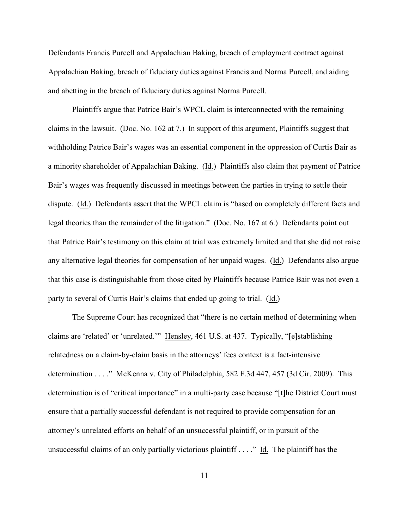Defendants Francis Purcell and Appalachian Baking, breach of employment contract against Appalachian Baking, breach of fiduciary duties against Francis and Norma Purcell, and aiding and abetting in the breach of fiduciary duties against Norma Purcell.

Plaintiffs argue that Patrice Bair's WPCL claim is interconnected with the remaining claims in the lawsuit. (Doc. No. 162 at 7.) In support of this argument, Plaintiffs suggest that withholding Patrice Bair's wages was an essential component in the oppression of Curtis Bair as a minority shareholder of Appalachian Baking. (Id.) Plaintiffs also claim that payment of Patrice Bair's wages was frequently discussed in meetings between the parties in trying to settle their dispute. (Id.) Defendants assert that the WPCL claim is "based on completely different facts and legal theories than the remainder of the litigation." (Doc. No. 167 at 6.) Defendants point out that Patrice Bair's testimony on this claim at trial was extremely limited and that she did not raise any alternative legal theories for compensation of her unpaid wages. (Id.) Defendants also argue that this case is distinguishable from those cited by Plaintiffs because Patrice Bair was not even a party to several of Curtis Bair's claims that ended up going to trial. (Id.)

The Supreme Court has recognized that "there is no certain method of determining when claims are 'related' or 'unrelated.'" Hensley, 461 U.S. at 437. Typically, "[e]stablishing relatedness on a claim-by-claim basis in the attorneys' fees context is a fact-intensive determination . . . ." McKenna v. City of Philadelphia, 582 F.3d 447, 457 (3d Cir. 2009). This determination is of "critical importance" in a multi-party case because "[t]he District Court must ensure that a partially successful defendant is not required to provide compensation for an attorney's unrelated efforts on behalf of an unsuccessful plaintiff, or in pursuit of the unsuccessful claims of an only partially victorious plaintiff . . . ." Id. The plaintiff has the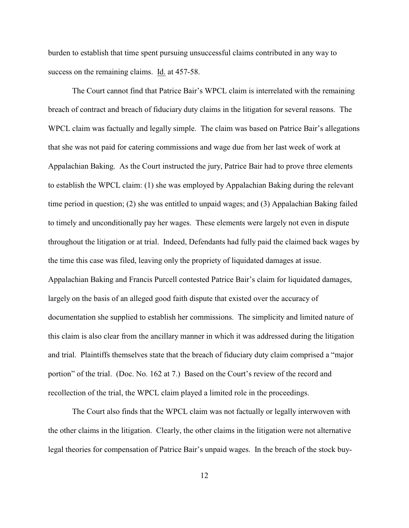burden to establish that time spent pursuing unsuccessful claims contributed in any way to success on the remaining claims. Id. at 457-58.

The Court cannot find that Patrice Bair's WPCL claim is interrelated with the remaining breach of contract and breach of fiduciary duty claims in the litigation for several reasons. The WPCL claim was factually and legally simple. The claim was based on Patrice Bair's allegations that she was not paid for catering commissions and wage due from her last week of work at Appalachian Baking. As the Court instructed the jury, Patrice Bair had to prove three elements to establish the WPCL claim: (1) she was employed by Appalachian Baking during the relevant time period in question; (2) she was entitled to unpaid wages; and (3) Appalachian Baking failed to timely and unconditionally pay her wages. These elements were largely not even in dispute throughout the litigation or at trial. Indeed, Defendants had fully paid the claimed back wages by the time this case was filed, leaving only the propriety of liquidated damages at issue. Appalachian Baking and Francis Purcell contested Patrice Bair's claim for liquidated damages, largely on the basis of an alleged good faith dispute that existed over the accuracy of documentation she supplied to establish her commissions. The simplicity and limited nature of this claim is also clear from the ancillary manner in which it was addressed during the litigation and trial. Plaintiffs themselves state that the breach of fiduciary duty claim comprised a "major portion" of the trial. (Doc. No. 162 at 7.) Based on the Court's review of the record and recollection of the trial, the WPCL claim played a limited role in the proceedings.

The Court also finds that the WPCL claim was not factually or legally interwoven with the other claims in the litigation. Clearly, the other claims in the litigation were not alternative legal theories for compensation of Patrice Bair's unpaid wages. In the breach of the stock buy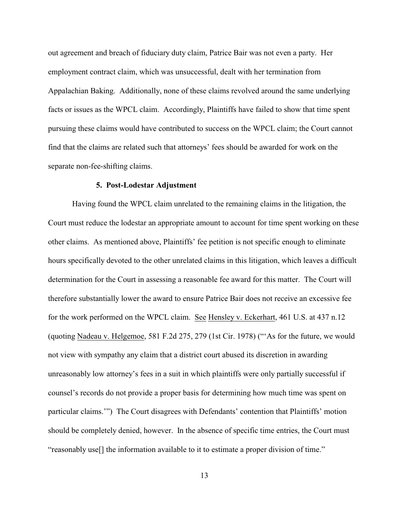out agreement and breach of fiduciary duty claim, Patrice Bair was not even a party. Her employment contract claim, which was unsuccessful, dealt with her termination from Appalachian Baking. Additionally, none of these claims revolved around the same underlying facts or issues as the WPCL claim. Accordingly, Plaintiffs have failed to show that time spent pursuing these claims would have contributed to success on the WPCL claim; the Court cannot find that the claims are related such that attorneys' fees should be awarded for work on the separate non-fee-shifting claims.

#### **5. Post-Lodestar Adjustment**

Having found the WPCL claim unrelated to the remaining claims in the litigation, the Court must reduce the lodestar an appropriate amount to account for time spent working on these other claims. As mentioned above, Plaintiffs' fee petition is not specific enough to eliminate hours specifically devoted to the other unrelated claims in this litigation, which leaves a difficult determination for the Court in assessing a reasonable fee award for this matter. The Court will therefore substantially lower the award to ensure Patrice Bair does not receive an excessive fee for the work performed on the WPCL claim. See Hensley v. Eckerhart, 461 U.S. at 437 n.12 (quoting Nadeau v. Helgemoe, 581 F.2d 275, 279 (1st Cir. 1978) ("'As for the future, we would not view with sympathy any claim that a district court abused its discretion in awarding unreasonably low attorney's fees in a suit in which plaintiffs were only partially successful if counsel's records do not provide a proper basis for determining how much time was spent on particular claims.'") The Court disagrees with Defendants' contention that Plaintiffs' motion should be completely denied, however. In the absence of specific time entries, the Court must "reasonably use[] the information available to it to estimate a proper division of time."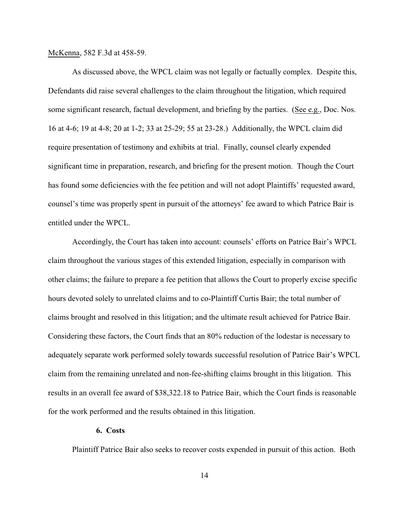McKenna, 582 F.3d at 458-59.

As discussed above, the WPCL claim was not legally or factually complex. Despite this, Defendants did raise several challenges to the claim throughout the litigation, which required some significant research, factual development, and briefing by the parties. (See e.g., Doc. Nos. 16 at 4-6; 19 at 4-8; 20 at 1-2; 33 at 25-29; 55 at 23-28.) Additionally, the WPCL claim did require presentation of testimony and exhibits at trial. Finally, counsel clearly expended significant time in preparation, research, and briefing for the present motion. Though the Court has found some deficiencies with the fee petition and will not adopt Plaintiffs' requested award, counsel's time was properly spent in pursuit of the attorneys' fee award to which Patrice Bair is entitled under the WPCL.

Accordingly, the Court has taken into account: counsels' efforts on Patrice Bair's WPCL claim throughout the various stages of this extended litigation, especially in comparison with other claims; the failure to prepare a fee petition that allows the Court to properly excise specific hours devoted solely to unrelated claims and to co-Plaintiff Curtis Bair; the total number of claims brought and resolved in this litigation; and the ultimate result achieved for Patrice Bair. Considering these factors, the Court finds that an 80% reduction of the lodestar is necessary to adequately separate work performed solely towards successful resolution of Patrice Bair's WPCL claim from the remaining unrelated and non-fee-shifting claims brought in this litigation. This results in an overall fee award of \$38,322.18 to Patrice Bair, which the Court finds is reasonable for the work performed and the results obtained in this litigation.

#### **6. Costs**

Plaintiff Patrice Bair also seeks to recover costs expended in pursuit of this action. Both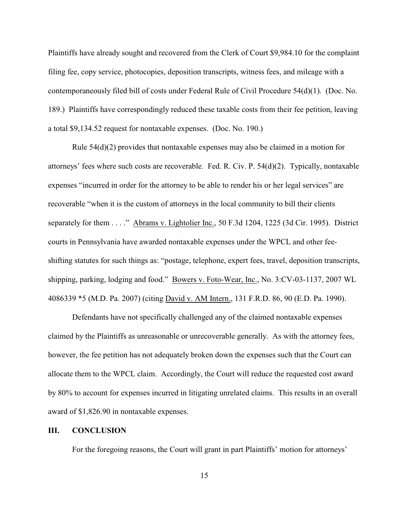Plaintiffs have already sought and recovered from the Clerk of Court \$9,984.10 for the complaint filing fee, copy service, photocopies, deposition transcripts, witness fees, and mileage with a contemporaneously filed bill of costs under Federal Rule of Civil Procedure 54(d)(1). (Doc. No. 189.) Plaintiffs have correspondingly reduced these taxable costs from their fee petition, leaving a total \$9,134.52 request for nontaxable expenses. (Doc. No. 190.)

Rule  $54(d)(2)$  provides that nontaxable expenses may also be claimed in a motion for attorneys' fees where such costs are recoverable. Fed. R. Civ. P. 54(d)(2). Typically, nontaxable expenses "incurred in order for the attorney to be able to render his or her legal services" are recoverable "when it is the custom of attorneys in the local community to bill their clients separately for them . . . ." Abrams v. Lightolier Inc., 50 F.3d 1204, 1225 (3d Cir. 1995). District courts in Pennsylvania have awarded nontaxable expenses under the WPCL and other feeshifting statutes for such things as: "postage, telephone, expert fees, travel, deposition transcripts, shipping, parking, lodging and food." Bowers v. Foto-Wear, Inc., No. 3:CV-03-1137, 2007 WL 4086339 \*5 (M.D. Pa. 2007) (citing David v. AM Intern., 131 F.R.D. 86, 90 (E.D. Pa. 1990).

Defendants have not specifically challenged any of the claimed nontaxable expenses claimed by the Plaintiffs as unreasonable or unrecoverable generally. As with the attorney fees, however, the fee petition has not adequately broken down the expenses such that the Court can allocate them to the WPCL claim. Accordingly, the Court will reduce the requested cost award by 80% to account for expenses incurred in litigating unrelated claims. This results in an overall award of \$1,826.90 in nontaxable expenses.

## **III. CONCLUSION**

For the foregoing reasons, the Court will grant in part Plaintiffs' motion for attorneys'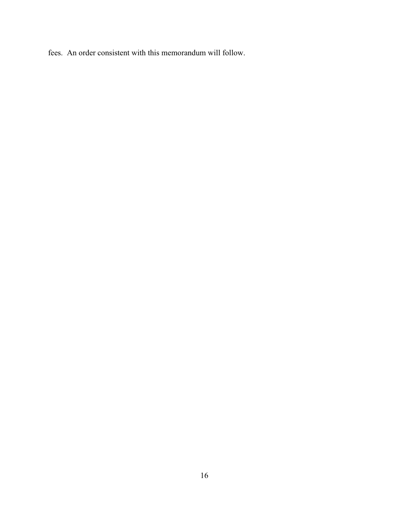fees. An order consistent with this memorandum will follow.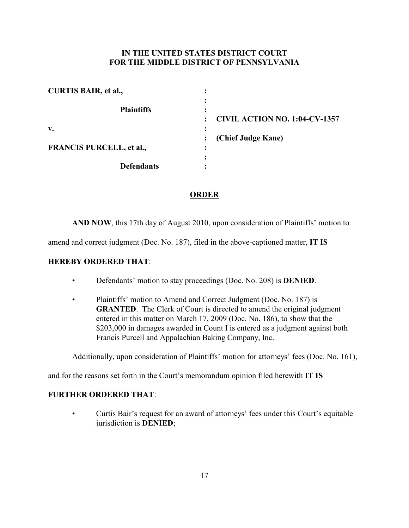# **IN THE UNITED STATES DISTRICT COURT FOR THE MIDDLE DISTRICT OF PENNSYLVANIA**

| <b>CURTIS BAIR, et al.,</b>     |                                      |
|---------------------------------|--------------------------------------|
| <b>Plaintiffs</b>               |                                      |
|                                 | <b>CIVIL ACTION NO. 1:04-CV-1357</b> |
| v.                              |                                      |
|                                 | (Chief Judge Kane)                   |
| <b>FRANCIS PURCELL, et al.,</b> | $\bullet$                            |
|                                 |                                      |
| <b>Defendants</b>               |                                      |

# **ORDER**

**AND NOW**, this 17th day of August 2010, upon consideration of Plaintiffs' motion to

amend and correct judgment (Doc. No. 187), filed in the above-captioned matter, **IT IS**

# **HEREBY ORDERED THAT**:

- Defendants' motion to stay proceedings (Doc. No. 208) is **DENIED**.
- Plaintiffs' motion to Amend and Correct Judgment (Doc. No. 187) is **GRANTED.** The Clerk of Court is directed to amend the original judgment entered in this matter on March 17, 2009 (Doc. No. 186), to show that the \$203,000 in damages awarded in Count I is entered as a judgment against both Francis Purcell and Appalachian Baking Company, Inc.

Additionally, upon consideration of Plaintiffs' motion for attorneys' fees (Doc. No. 161),

and for the reasons set forth in the Court's memorandum opinion filed herewith **IT IS**

## **FURTHER ORDERED THAT**:

• Curtis Bair's request for an award of attorneys' fees under this Court's equitable jurisdiction is **DENIED**;